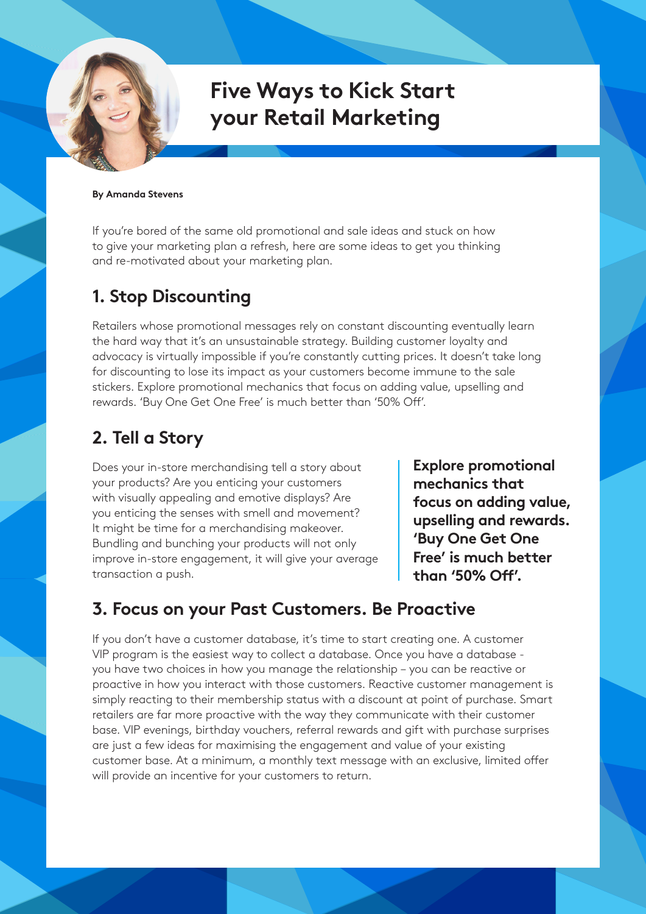# **Five Ways to Kick Start your Retail Marketing**

#### **By Amanda Stevens**

If you're bored of the same old promotional and sale ideas and stuck on how to give your marketing plan a refresh, here are some ideas to get you thinking and re-motivated about your marketing plan.

## **1. Stop Discounting**

Retailers whose promotional messages rely on constant discounting eventually learn the hard way that it's an unsustainable strategy. Building customer loyalty and advocacy is virtually impossible if you're constantly cutting prices. It doesn't take long for discounting to lose its impact as your customers become immune to the sale stickers. Explore promotional mechanics that focus on adding value, upselling and rewards. 'Buy One Get One Free' is much better than '50% Off'.

# **2. Tell a Story**

Does your in-store merchandising tell a story about your products? Are you enticing your customers with visually appealing and emotive displays? Are you enticing the senses with smell and movement? It might be time for a merchandising makeover. Bundling and bunching your products will not only improve in-store engagement, it will give your average transaction a push.

**Explore promotional mechanics that focus on adding value, upselling and rewards. 'Buy One Get One Free' is much better than '50% Off'.**

## **3. Focus on your Past Customers. Be Proactive**

If you don't have a customer database, it's time to start creating one. A customer VIP program is the easiest way to collect a database. Once you have a database you have two choices in how you manage the relationship – you can be reactive or proactive in how you interact with those customers. Reactive customer management is simply reacting to their membership status with a discount at point of purchase. Smart retailers are far more proactive with the way they communicate with their customer base. VIP evenings, birthday vouchers, referral rewards and gift with purchase surprises are just a few ideas for maximising the engagement and value of your existing customer base. At a minimum, a monthly text message with an exclusive, limited offer will provide an incentive for your customers to return.